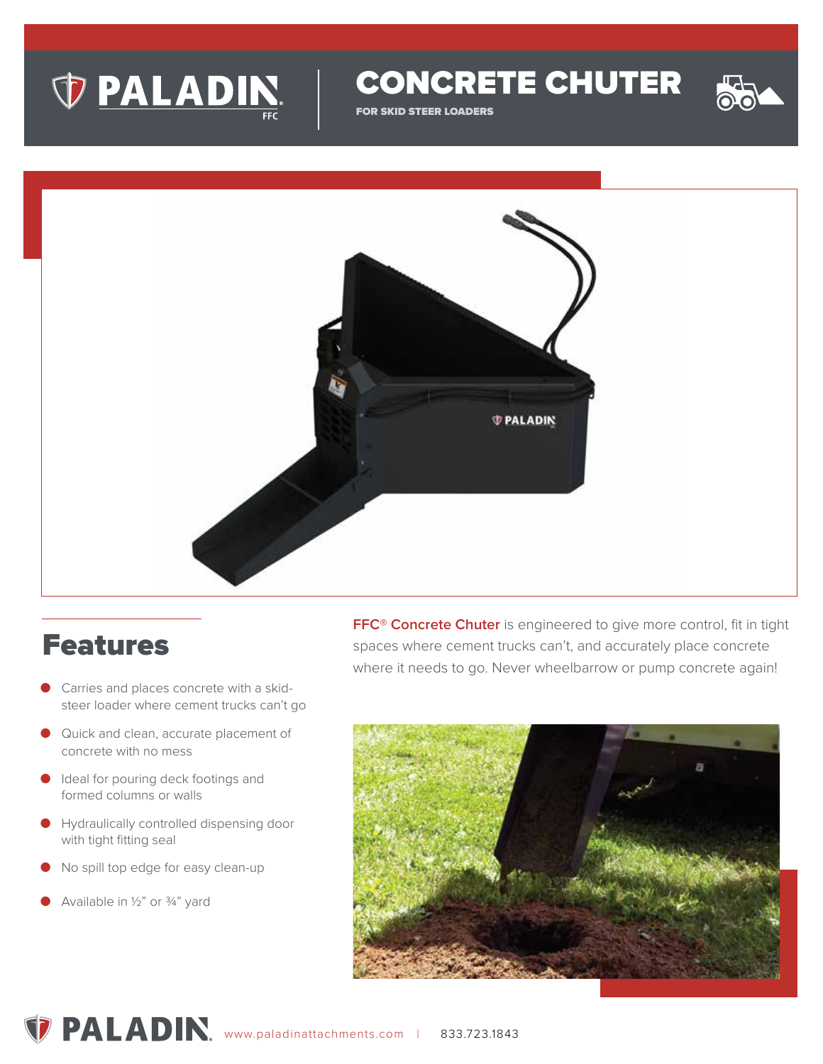

CONCRETE CHUTER

FOR SKID STEER LOADERS



#### Features

- Carries and places concrete with a skidsteer loader where cement trucks can't go
- Quick and clean, accurate placement of concrete with no mess
- Ideal for pouring deck footings and formed columns or walls
- Hydraulically controlled dispensing door with tight fitting seal
- No spill top edge for easy clean-up
- Available in 1/2" or 3/4" yard

**FFC® Concrete Chuter** is engineered to give more control, fit in tight spaces where cement trucks can't, and accurately place concrete where it needs to go. Never wheelbarrow or pump concrete again!